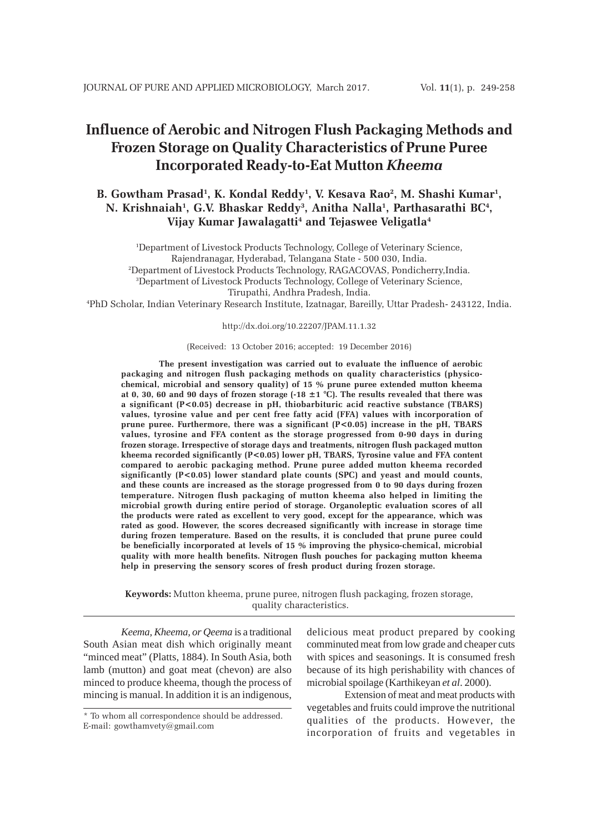# **Influence of Aerobic and Nitrogen Flush Packaging Methods and Frozen Storage on Quality Characteristics of Prune Puree Incorporated Ready-to-Eat Mutton** *Kheema*

# B. Gowtham Prasad<sup>1</sup>, K. Kondal Reddy<sup>1</sup>, V. Kesava Rao<sup>2</sup>, M. Shashi Kumar<sup>1</sup>, N. Krishnaiah<sup>1</sup>, G.V. Bhaskar Reddy<sup>3</sup>, Anitha Nalla<sup>1</sup>, Parthasarathi BC<sup>4</sup>, **Vijay Kumar Jawalagatti4 and Tejaswee Veligatla4**

1 Department of Livestock Products Technology, College of Veterinary Science, Rajendranagar, Hyderabad, Telangana State - 500 030, India. 2 Department of Livestock Products Technology, RAGACOVAS, Pondicherry,India. 3 Department of Livestock Products Technology, College of Veterinary Science, Tirupathi, Andhra Pradesh, India.

4 PhD Scholar, Indian Veterinary Research Institute, Izatnagar, Bareilly, Uttar Pradesh- 243122, India.

http://dx.doi.org/10.22207/JPAM.11.1.32

(Received: 13 October 2016; accepted: 19 December 2016)

**The present investigation was carried out to evaluate the influence of aerobic packaging and nitrogen flush packaging methods on quality characteristics (physicochemical, microbial and sensory quality) of 15 % prune puree extended mutton kheema at 0, 30, 60 and 90 days of frozen storage (-18 ±1 °C). The results revealed that there was a significant (P<0.05) decrease in pH, thiobarbituric acid reactive substance (TBARS) values, tyrosine value and per cent free fatty acid (FFA) values with incorporation of prune puree. Furthermore, there was a significant (P<0.05) increase in the pH, TBARS values, tyrosine and FFA content as the storage progressed from 0-90 days in during frozen storage. Irrespective of storage days and treatments, nitrogen flush packaged mutton kheema recorded significantly (P<0.05) lower pH, TBARS, Tyrosine value and FFA content compared to aerobic packaging method. Prune puree added mutton kheema recorded significantly (P<0.05) lower standard plate counts (SPC) and yeast and mould counts, and these counts are increased as the storage progressed from 0 to 90 days during frozen temperature. Nitrogen flush packaging of mutton kheema also helped in limiting the microbial growth during entire period of storage. Organoleptic evaluation scores of all the products were rated as excellent to very good, except for the appearance, which was rated as good. However, the scores decreased significantly with increase in storage time during frozen temperature. Based on the results, it is concluded that prune puree could be beneficially incorporated at levels of 15 % improving the physico-chemical, microbial quality with more health benefits. Nitrogen flush pouches for packaging mutton kheema help in preserving the sensory scores of fresh product during frozen storage.**

**Keywords:** Mutton kheema, prune puree, nitrogen flush packaging, frozen storage, quality characteristics.

*Keema, Kheema, or Qeema* is a traditional South Asian meat dish which originally meant "minced meat" (Platts, 1884). In South Asia, both lamb (mutton) and goat meat (chevon) are also minced to produce kheema, though the process of mincing is manual. In addition it is an indigenous,

delicious meat product prepared by cooking comminuted meat from low grade and cheaper cuts with spices and seasonings. It is consumed fresh because of its high perishability with chances of microbial spoilage (Karthikeyan *et al*. 2000).

Extension of meat and meat products with vegetables and fruits could improve the nutritional qualities of the products. However, the incorporation of fruits and vegetables in

<sup>\*</sup> To whom all correspondence should be addressed. E-mail: gowthamvety@gmail.com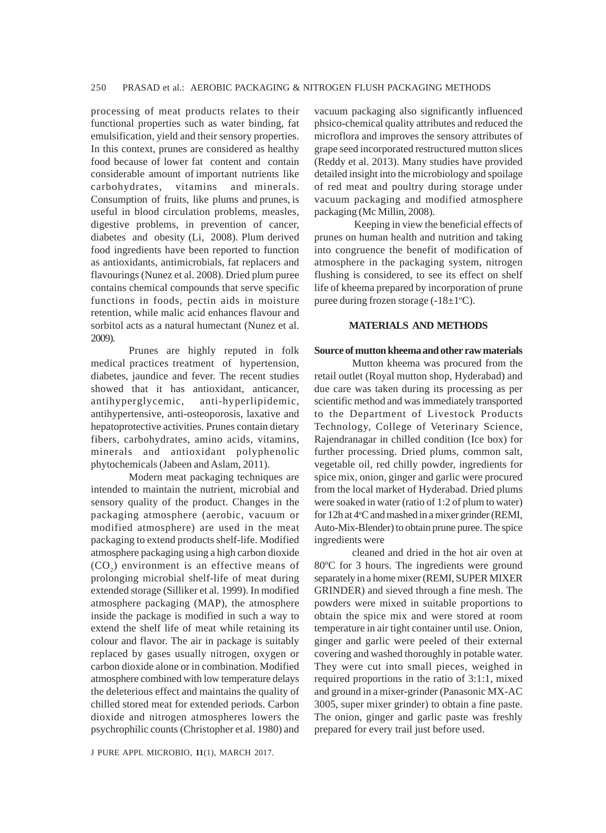processing of meat products relates to their functional properties such as water binding, fat emulsification, yield and their sensory properties. In this context, prunes are considered as healthy food because of lower fat content and contain considerable amount of important nutrients like carbohydrates, vitamins and minerals. Consumption of fruits, like plums and prunes, is useful in blood circulation problems, measles, digestive problems, in prevention of cancer, diabetes and obesity (Li, 2008). Plum derived food ingredients have been reported to function as antioxidants, antimicrobials, fat replacers and flavourings (Nunez et al. 2008). Dried plum puree contains chemical compounds that serve specific functions in foods, pectin aids in moisture retention, while malic acid enhances flavour and sorbitol acts as a natural humectant (Nunez et al. 2009).

Prunes are highly reputed in folk medical practices treatment of hypertension, diabetes, jaundice and fever. The recent studies showed that it has antioxidant, anticancer, antihyperglycemic, anti-hyperlipidemic, antihypertensive, anti-osteoporosis, laxative and hepatoprotective activities. Prunes contain dietary fibers, carbohydrates, amino acids, vitamins, minerals and antioxidant polyphenolic phytochemicals (Jabeen and Aslam, 2011).

Modern meat packaging techniques are intended to maintain the nutrient, microbial and sensory quality of the product. Changes in the packaging atmosphere (aerobic, vacuum or modified atmosphere) are used in the meat packaging to extend products shelf-life. Modified atmosphere packaging using a high carbon dioxide  $(CO<sub>2</sub>)$  environment is an effective means of prolonging microbial shelf-life of meat during extended storage (Silliker et al. 1999). In modified atmosphere packaging (MAP), the atmosphere inside the package is modified in such a way to extend the shelf life of meat while retaining its colour and flavor. The air in package is suitably replaced by gases usually nitrogen, oxygen or carbon dioxide alone or in combination. Modified atmosphere combined with low temperature delays the deleterious effect and maintains the quality of chilled stored meat for extended periods. Carbon dioxide and nitrogen atmospheres lowers the psychrophilic counts (Christopher et al. 1980) and

vacuum packaging also significantly influenced phsico-chemical quality attributes and reduced the microflora and improves the sensory attributes of grape seed incorporated restructured mutton slices (Reddy et al. 2013). Many studies have provided detailed insight into the microbiology and spoilage of red meat and poultry during storage under vacuum packaging and modified atmosphere packaging (Mc Millin, 2008).

 Keeping in view the beneficial effects of prunes on human health and nutrition and taking into congruence the benefit of modification of atmosphere in the packaging system, nitrogen flushing is considered, to see its effect on shelf life of kheema prepared by incorporation of prune puree during frozen storage  $(-18 \pm 1^{\circ}C)$ .

# **MATERIALS AND METHODS**

#### **Source of mutton kheema and other raw materials**

Mutton kheema was procured from the retail outlet (Royal mutton shop, Hyderabad) and due care was taken during its processing as per scientific method and was immediately transported to the Department of Livestock Products Technology, College of Veterinary Science, Rajendranagar in chilled condition (Ice box) for further processing. Dried plums, common salt, vegetable oil, red chilly powder, ingredients for spice mix, onion, ginger and garlic were procured from the local market of Hyderabad. Dried plums were soaked in water (ratio of 1:2 of plum to water) for 12h at 4°C and mashed in a mixer grinder (REMI, Auto-Mix-Blender) to obtain prune puree. The spice ingredients were

cleaned and dried in the hot air oven at 80ºC for 3 hours. The ingredients were ground separately in a home mixer (REMI, SUPER MIXER GRINDER) and sieved through a fine mesh. The powders were mixed in suitable proportions to obtain the spice mix and were stored at room temperature in air tight container until use. Onion, ginger and garlic were peeled of their external covering and washed thoroughly in potable water. They were cut into small pieces, weighed in required proportions in the ratio of 3:1:1, mixed and ground in a mixer-grinder (Panasonic MX-AC 3005, super mixer grinder) to obtain a fine paste. The onion, ginger and garlic paste was freshly prepared for every trail just before used.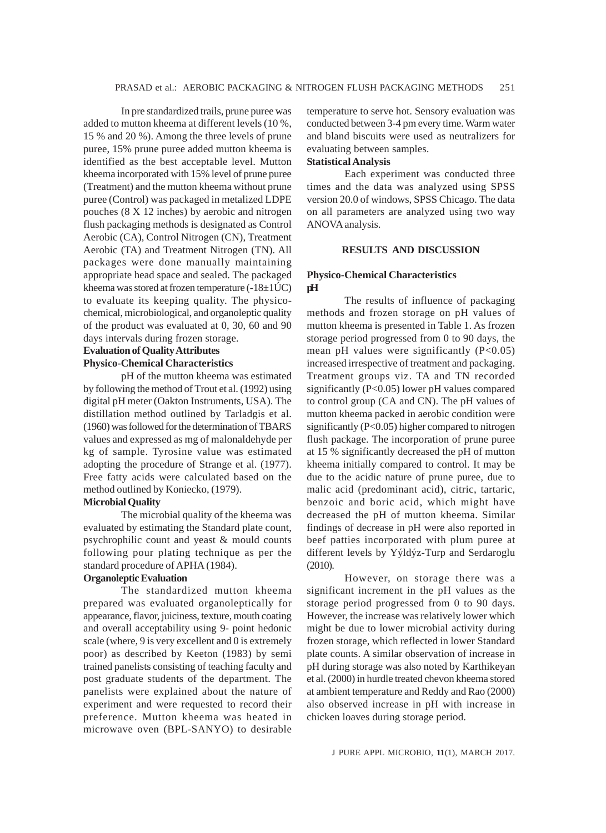In pre standardized trails, prune puree was added to mutton kheema at different levels (10 %, 15 % and 20 %). Among the three levels of prune puree, 15% prune puree added mutton kheema is identified as the best acceptable level. Mutton kheema incorporated with 15% level of prune puree (Treatment) and the mutton kheema without prune puree (Control) was packaged in metalized LDPE pouches (8 X 12 inches) by aerobic and nitrogen flush packaging methods is designated as Control Aerobic (CA), Control Nitrogen (CN), Treatment Aerobic (TA) and Treatment Nitrogen (TN). All packages were done manually maintaining appropriate head space and sealed. The packaged kheema was stored at frozen temperature  $(-18\pm1\text{U/C})$ to evaluate its keeping quality. The physicochemical, microbiological, and organoleptic quality of the product was evaluated at 0, 30, 60 and 90 days intervals during frozen storage.

# **Evaluation of Quality Attributes Physico-Chemical Characteristics**

pH of the mutton kheema was estimated by following the method of Trout et al. (1992) using digital pH meter (Oakton Instruments, USA). The distillation method outlined by Tarladgis et al. (1960) was followed for the determination of TBARS values and expressed as mg of malonaldehyde per kg of sample. Tyrosine value was estimated adopting the procedure of Strange et al. (1977). Free fatty acids were calculated based on the method outlined by Koniecko, (1979).

# **Microbial Quality**

The microbial quality of the kheema was evaluated by estimating the Standard plate count, psychrophilic count and yeast & mould counts following pour plating technique as per the standard procedure of APHA (1984).

# **Organoleptic Evaluation**

The standardized mutton kheema prepared was evaluated organoleptically for appearance, flavor, juiciness, texture, mouth coating and overall acceptability using 9- point hedonic scale (where, 9 is very excellent and 0 is extremely poor) as described by Keeton (1983) by semi trained panelists consisting of teaching faculty and post graduate students of the department. The panelists were explained about the nature of experiment and were requested to record their preference. Mutton kheema was heated in microwave oven (BPL-SANYO) to desirable

temperature to serve hot. Sensory evaluation was conducted between 3-4 pm every time. Warm water and bland biscuits were used as neutralizers for evaluating between samples.

# **Statistical Analysis**

Each experiment was conducted three times and the data was analyzed using SPSS version 20.0 of windows, SPSS Chicago. The data on all parameters are analyzed using two way ANOVA analysis.

### **RESULTS AND DISCUSSION**

# **Physico-Chemical Characteristics pH**

The results of influence of packaging methods and frozen storage on pH values of mutton kheema is presented in Table 1. As frozen storage period progressed from 0 to 90 days, the mean pH values were significantly  $(P<0.05)$ increased irrespective of treatment and packaging. Treatment groups viz. TA and TN recorded significantly (P<0.05) lower pH values compared to control group (CA and CN). The pH values of mutton kheema packed in aerobic condition were significantly (P<0.05) higher compared to nitrogen flush package. The incorporation of prune puree at 15 % significantly decreased the pH of mutton kheema initially compared to control. It may be due to the acidic nature of prune puree, due to malic acid (predominant acid), citric, tartaric, benzoic and boric acid, which might have decreased the pH of mutton kheema. Similar findings of decrease in pH were also reported in beef patties incorporated with plum puree at different levels by Yýldýz-Turp and Serdaroglu (2010).

However, on storage there was a significant increment in the pH values as the storage period progressed from 0 to 90 days. However, the increase was relatively lower which might be due to lower microbial activity during frozen storage, which reflected in lower Standard plate counts. A similar observation of increase in pH during storage was also noted by Karthikeyan et al. (2000) in hurdle treated chevon kheema stored at ambient temperature and Reddy and Rao (2000) also observed increase in pH with increase in chicken loaves during storage period.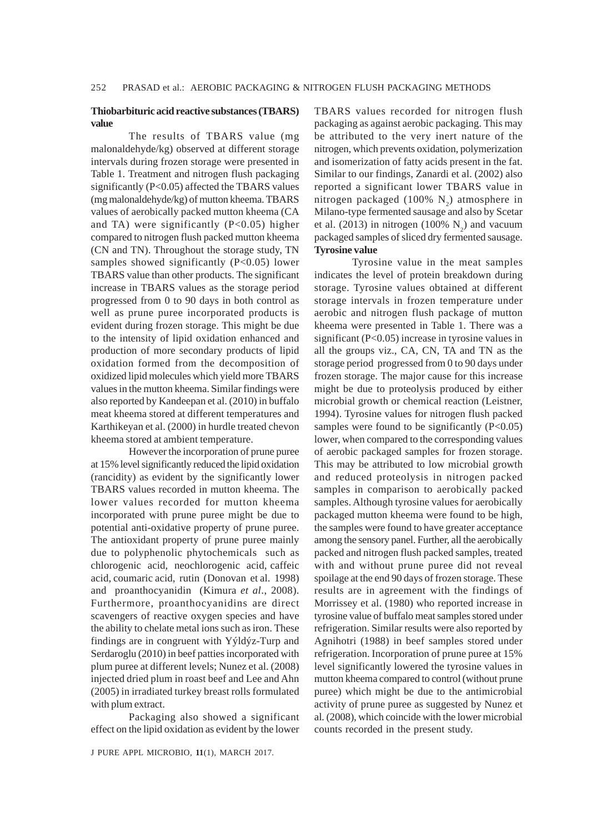# **Thiobarbituric acid reactive substances (TBARS) value**

The results of TBARS value (mg malonaldehyde/kg) observed at different storage intervals during frozen storage were presented in Table 1. Treatment and nitrogen flush packaging significantly (P<0.05) affected the TBARS values (mg malonaldehyde/kg) of mutton kheema. TBARS values of aerobically packed mutton kheema (CA and TA) were significantly (P<0.05) higher compared to nitrogen flush packed mutton kheema (CN and TN). Throughout the storage study, TN samples showed significantly  $(P<0.05)$  lower TBARS value than other products. The significant increase in TBARS values as the storage period progressed from 0 to 90 days in both control as well as prune puree incorporated products is evident during frozen storage. This might be due to the intensity of lipid oxidation enhanced and production of more secondary products of lipid oxidation formed from the decomposition of oxidized lipid molecules which yield more TBARS values in the mutton kheema. Similar findings were also reported by Kandeepan et al. (2010) in buffalo meat kheema stored at different temperatures and Karthikeyan et al. (2000) in hurdle treated chevon kheema stored at ambient temperature.

However the incorporation of prune puree at 15% level significantly reduced the lipid oxidation (rancidity) as evident by the significantly lower TBARS values recorded in mutton kheema. The lower values recorded for mutton kheema incorporated with prune puree might be due to potential anti-oxidative property of prune puree. The antioxidant property of prune puree mainly due to polyphenolic phytochemicals such as chlorogenic acid, neochlorogenic acid, caffeic acid, coumaric acid, rutin (Donovan et al. 1998) and proanthocyanidin (Kimura *et al*., 2008). Furthermore, proanthocyanidins are direct scavengers of reactive oxygen species and have the ability to chelate metal ions such as iron. These findings are in congruent with Yýldýz-Turp and Serdaroglu (2010) in beef patties incorporated with plum puree at different levels; Nunez et al. (2008) injected dried plum in roast beef and Lee and Ahn (2005) in irradiated turkey breast rolls formulated with plum extract.

Packaging also showed a significant effect on the lipid oxidation as evident by the lower TBARS values recorded for nitrogen flush packaging as against aerobic packaging. This may be attributed to the very inert nature of the nitrogen, which prevents oxidation, polymerization and isomerization of fatty acids present in the fat. Similar to our findings, Zanardi et al. (2002) also reported a significant lower TBARS value in nitrogen packaged (100%  $N_2$ ) atmosphere in Milano-type fermented sausage and also by Scetar et al. (2013) in nitrogen (100%  $N_2$ ) and vacuum packaged samples of sliced dry fermented sausage. **Tyrosine value**

Tyrosine value in the meat samples indicates the level of protein breakdown during storage. Tyrosine values obtained at different storage intervals in frozen temperature under aerobic and nitrogen flush package of mutton kheema were presented in Table 1. There was a significant (P<0.05) increase in tyrosine values in all the groups viz., CA, CN, TA and TN as the storage period progressed from 0 to 90 days under frozen storage. The major cause for this increase might be due to proteolysis produced by either microbial growth or chemical reaction (Leistner, 1994). Tyrosine values for nitrogen flush packed samples were found to be significantly  $(P<0.05)$ lower, when compared to the corresponding values of aerobic packaged samples for frozen storage. This may be attributed to low microbial growth and reduced proteolysis in nitrogen packed samples in comparison to aerobically packed samples. Although tyrosine values for aerobically packaged mutton kheema were found to be high, the samples were found to have greater acceptance among the sensory panel. Further, all the aerobically packed and nitrogen flush packed samples, treated with and without prune puree did not reveal spoilage at the end 90 days of frozen storage. These results are in agreement with the findings of Morrissey et al. (1980) who reported increase in tyrosine value of buffalo meat samples stored under refrigeration. Similar results were also reported by Agnihotri (1988) in beef samples stored under refrigeration. Incorporation of prune puree at 15% level significantly lowered the tyrosine values in mutton kheema compared to control (without prune puree) which might be due to the antimicrobial activity of prune puree as suggested by Nunez et al*.* (2008), which coincide with the lower microbial counts recorded in the present study.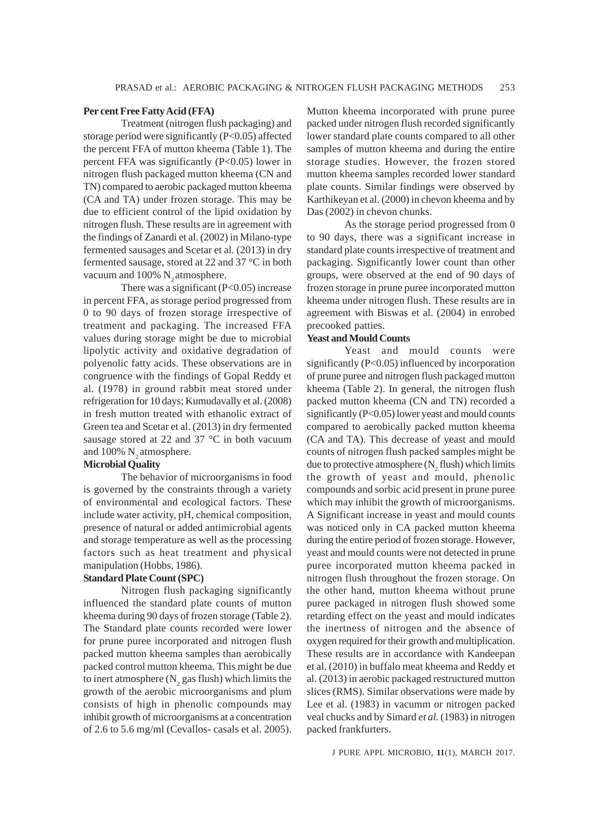#### **Per cent Free Fatty Acid (FFA)**

Treatment (nitrogen flush packaging) and storage period were significantly (P<0.05) affected the percent FFA of mutton kheema (Table 1). The percent FFA was significantly (P<0.05) lower in nitrogen flush packaged mutton kheema (CN and TN) compared to aerobic packaged mutton kheema (CA and TA) under frozen storage. This may be due to efficient control of the lipid oxidation by nitrogen flush. These results are in agreement with the findings of Zanardi et al. (2002) in Milano-type fermented sausages and Scetar et al. (2013) in dry fermented sausage, stored at 22 and 37 °C in both vacuum and 100% N<sub>2</sub> atmosphere.

There was a significant  $(P<0.05)$  increase in percent FFA, as storage period progressed from 0 to 90 days of frozen storage irrespective of treatment and packaging. The increased FFA values during storage might be due to microbial lipolytic activity and oxidative degradation of polyenolic fatty acids. These observations are in congruence with the findings of Gopal Reddy et al. (1978) in ground rabbit meat stored under refrigeration for 10 days; Kumudavally et al. (2008) in fresh mutton treated with ethanolic extract of Green tea and Scetar et al. (2013) in dry fermented sausage stored at 22 and 37 °C in both vacuum and  $100\%$  N<sub>2</sub> atmosphere.

### **Microbial Quality**

The behavior of microorganisms in food is governed by the constraints through a variety of environmental and ecological factors. These include water activity, pH, chemical composition, presence of natural or added antimicrobial agents and storage temperature as well as the processing factors such as heat treatment and physical manipulation (Hobbs, 1986).

# **Standard Plate Count (SPC)**

Nitrogen flush packaging significantly influenced the standard plate counts of mutton kheema during 90 days of frozen storage (Table 2). The Standard plate counts recorded were lower for prune puree incorporated and nitrogen flush packed mutton kheema samples than aerobically packed control mutton kheema. This might be due to inert atmosphere ( $N_2$  gas flush) which limits the growth of the aerobic microorganisms and plum consists of high in phenolic compounds may inhibit growth of microorganisms at a concentration of 2.6 to 5.6 mg/ml (Cevallos- casals et al. 2005).

Mutton kheema incorporated with prune puree packed under nitrogen flush recorded significantly lower standard plate counts compared to all other samples of mutton kheema and during the entire storage studies. However, the frozen stored mutton kheema samples recorded lower standard plate counts. Similar findings were observed by Karthikeyan et al. (2000) in chevon kheema and by Das (2002) in chevon chunks.

As the storage period progressed from 0 to 90 days, there was a significant increase in standard plate counts irrespective of treatment and packaging. Significantly lower count than other groups, were observed at the end of 90 days of frozen storage in prune puree incorporated mutton kheema under nitrogen flush. These results are in agreement with Biswas et al. (2004) in enrobed precooked patties.

#### **Yeast and Mould Counts**

Yeast and mould counts were significantly (P<0.05) influenced by incorporation of prune puree and nitrogen flush packaged mutton kheema (Table 2). In general, the nitrogen flush packed mutton kheema (CN and TN) recorded a significantly (P<0.05) lower yeast and mould counts compared to aerobically packed mutton kheema (CA and TA). This decrease of yeast and mould counts of nitrogen flush packed samples might be due to protective atmosphere  $(N_2$  flush) which limits the growth of yeast and mould, phenolic compounds and sorbic acid present in prune puree which may inhibit the growth of microorganisms. A Significant increase in yeast and mould counts was noticed only in CA packed mutton kheema during the entire period of frozen storage. However, yeast and mould counts were not detected in prune puree incorporated mutton kheema packed in nitrogen flush throughout the frozen storage. On the other hand, mutton kheema without prune puree packaged in nitrogen flush showed some retarding effect on the yeast and mould indicates the inertness of nitrogen and the absence of oxygen required for their growth and multiplication. These results are in accordance with Kandeepan et al. (2010) in buffalo meat kheema and Reddy et al. (2013) in aerobic packaged restructured mutton slices (RMS). Similar observations were made by Lee et al. (1983) in vacumm or nitrogen packed veal chucks and by Simard *et al.* (1983) in nitrogen packed frankfurters.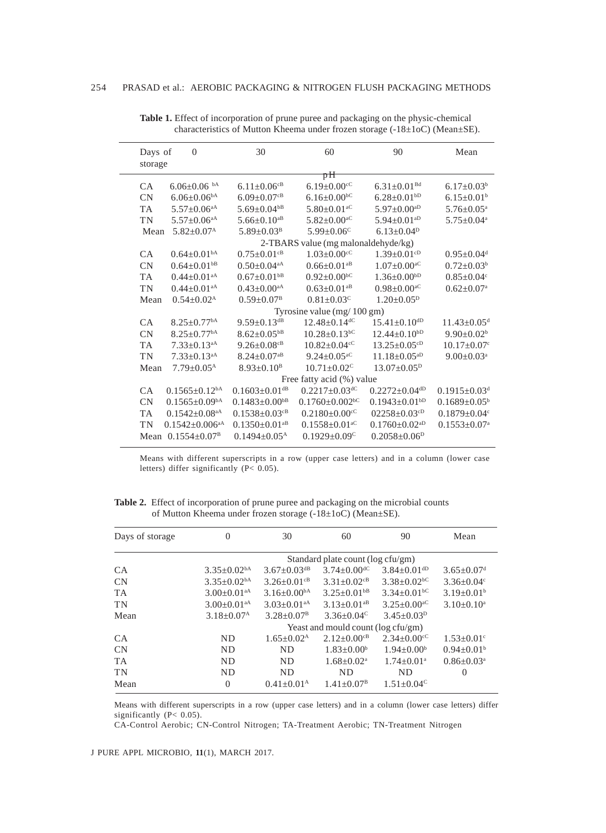| Days of<br>storage | $\overline{0}$                   | 30                              | 60                                   | 90                              | Mean                           |
|--------------------|----------------------------------|---------------------------------|--------------------------------------|---------------------------------|--------------------------------|
|                    |                                  |                                 | pĦ                                   |                                 |                                |
| <b>CA</b>          | $6.06 \pm 0.06$ b <sup>A</sup>   | $6.11 \pm 0.06$ <sup>cB</sup>   | $6.19 \pm 0.00$ <sup>cC</sup>        | $6.31 \pm 0.01$ <sup>Bd</sup>   | $6.17 \pm 0.03^b$              |
| <b>CN</b>          | $6.06 \pm 0.06$ <sup>bA</sup>    | $6.09 \pm 0.07$ <sup>cB</sup>   | $6.16 \pm 0.00$ <sup>bC</sup>        | $6.28 \pm 0.01$ <sup>bD</sup>   | $6.15 \pm 0.01^b$              |
| <b>TA</b>          | $5.57 \pm 0.06$ <sup>aA</sup>    | $5.69 \pm 0.04$ <sup>bB</sup>   | $5.80\pm0.01^{\mathrm{aC}}$          | $5.97 \pm 0.00$ <sup>aD</sup>   | $5.76 \pm 0.05^{\text{a}}$     |
| TN                 | $5.57 \pm 0.06$ <sup>aA</sup>    | $5.66 \pm 0.10$ <sup>aB</sup>   | $5.82 \pm 0.00$ <sup>aC</sup>        | $5.94 \pm 0.01$ <sup>aD</sup>   | $5.75 \pm 0.04$ <sup>a</sup>   |
| Mean               | $5.82+0.07A$                     | $5.89 + 0.03B$                  | $5.99 + 0.06^{\circ}$                | $6.13+0.04D$                    |                                |
|                    |                                  |                                 | 2-TBARS value (mg malonaldehyde/kg)  |                                 |                                |
| CA.                | $0.64+0.01bA$                    | $0.75 \pm 0.01$ <sup>cB</sup>   | $1.03 + 0.00$ <sup>cC</sup>          | $1.39 \pm 0.01$ <sup>cD</sup>   | $0.95 + 0.04$ <sup>d</sup>     |
| <b>CN</b>          | $0.64 \pm 0.01$ <sup>bB</sup>    | $0.50\pm0.04^{\mathrm{aA}}$     | $0.66 \pm 0.01$ <sup>aB</sup>        | $1.07 \pm 0.00$ <sup>aC</sup>   | $0.72 \pm 0.03^b$              |
| <b>TA</b>          | $0.44 \pm 0.01$ <sup>aA</sup>    | $0.67 \pm 0.01$ <sup>bB</sup>   | $0.92 \pm 0.00$ <sup>bC</sup>        | $1.36 \pm 0.00^{\mathrm{bD}}$   | $0.85 \pm 0.04$ <sup>c</sup>   |
| TN.                | $0.44+0.01aA$                    | $0.43+0.00^{aA}$                | $0.63 \pm 0.01$ <sup>aB</sup>        | $0.98 \pm 0.00$ <sup>aC</sup>   | $0.62 \pm 0.07$ <sup>a</sup>   |
| Mean               | $0.54 \pm 0.02^{\text{A}}$       | $0.59 \pm 0.07^{\rm B}$         | $0.81 \pm 0.03$ <sup>c</sup>         | $1.20 \pm 0.05^p$               |                                |
|                    |                                  |                                 | Tyrosine value $(mg/100 \text{ gm})$ |                                 |                                |
| CA                 | $8.25 + 0.77$ <sup>bA</sup>      | $9.59 \pm 0.13$ <sup>dB</sup>   | $12.48 \pm 0.14$ <sup>dC</sup>       | $15.41 + 0.10^{dD}$             | $11.43 + 0.05d$                |
| CN                 | $8.25 \pm 0.77$ <sup>bA</sup>    | $8.62 \pm 0.05$ <sup>bB</sup>   | $10.28 \pm 0.13$ <sup>bC</sup>       | $12.44 \pm 0.10^{bD}$           | $9.90 \pm 0.02^b$              |
| <b>TA</b>          | $7.33+0.13$ <sup>aA</sup>        | $9.26 \pm 0.08$ <sup>cB</sup>   | $10.82 \pm 0.04$ <sup>cC</sup>       | $13.25 \pm 0.05$ <sup>cD</sup>  | $10.17 \pm 0.07$ <sup>c</sup>  |
| <b>TN</b>          | $7.33 \pm 0.13$ <sup>aA</sup>    | $8.24 \pm 0.07$ <sup>aB</sup>   | $9.24 \pm 0.05$ <sup>aC</sup>        | $11.18 \pm 0.05$ <sup>aD</sup>  | $9.00 \pm 0.03$ <sup>a</sup>   |
| Mean               | $7.79 + 0.05^{\text{A}}$         | $8.93+0.10^{B}$                 | $10.71 \pm 0.02$ <sup>c</sup>        | $13.07+0.05D$                   |                                |
|                    |                                  |                                 | Free fatty acid (%) value            |                                 |                                |
| CA.                | $0.1565 \pm 0.12$ <sup>bA</sup>  | $0.1603+0.01$ <sup>dB</sup>     | $0.2217 \pm 0.03$ <sup>dC</sup>      | $0.2272 \pm 0.04$ <sup>dD</sup> | $0.1915 \pm 0.03$ <sup>d</sup> |
| CN                 | $0.1565 \pm 0.09$ <sup>bA</sup>  | $0.1483+0.00^{b}$               | $0.1760 \pm 0.002$ <sup>bC</sup>     | $0.1943 \pm 0.01$ bD            | $0.1689 \pm 0.05^{\circ}$      |
| <b>TA</b>          | $0.1542 \pm 0.08$ <sup>aA</sup>  | $0.1538 \pm 0.03$ <sup>cB</sup> | $0.2180 \pm 0.00$ <sup>cC</sup>      | $02258 \pm 0.03$ <sup>cD</sup>  | $0.1879 \pm 0.04$ <sup>c</sup> |
| TN                 | $0.1542 \pm 0.006$ <sup>aA</sup> | $0.1350 \pm 0.01$ <sup>aB</sup> | $0.1558 \pm 0.01$ <sup>aC</sup>      | $0.1760 \pm 0.02$ <sup>aD</sup> | $0.1553 \pm 0.07$ <sup>a</sup> |
|                    | Mean $0.1554+0.07^B$             | $0.1494 + 0.05A$                | $0.1929 \pm 0.09$ <sup>C</sup>       | $0.2058 \pm 0.06^p$             |                                |

**Table 1.** Effect of incorporation of prune puree and packaging on the physic-chemical characteristics of Mutton Kheema under frozen storage (-18±1oC) (Mean±SE).

Means with different superscripts in a row (upper case letters) and in a column (lower case letters) differ significantly (P< 0.05).

**Table 2.** Effect of incorporation of prune puree and packaging on the microbial counts of Mutton Kheema under frozen storage (-18±1oC) (Mean±SE).

| Days of storage | $\theta$                           | 30                          | 60                            | 90                          | Mean                         |  |  |
|-----------------|------------------------------------|-----------------------------|-------------------------------|-----------------------------|------------------------------|--|--|
|                 | Standard plate count (log cfu/gm)  |                             |                               |                             |                              |  |  |
| <b>CA</b>       | $3.35 \pm 0.02$ <sup>bA</sup>      | $3.67 + 0.03$ <sup>dB</sup> | $3.74 \pm 0.00$ <sup>dC</sup> | $3.84 + 0.01$ <sup>dD</sup> | $3.65 \pm 0.07$ <sup>d</sup> |  |  |
| CN              | $3.35 \pm 0.02$ <sup>bA</sup>      | $3.26 + 0.01$ <sup>cB</sup> | $3.31 \pm 0.02$ <sup>cB</sup> | $3.38 + 0.02$ <sup>bC</sup> | $3.36 \pm 0.04$ <sup>c</sup> |  |  |
| <b>TA</b>       | $3.00 \pm 0.01$ <sup>aA</sup>      | $3.16 + 0.00bA$             | $3.25 \pm 0.01$ <sup>bB</sup> | $3.34+0.01^{bC}$            | $3.19 \pm 0.01^b$            |  |  |
| <b>TN</b>       | $3.00 \pm 0.01$ <sup>aA</sup>      | $3.03+0.01$ <sup>aA</sup>   | $3.13+0.01^{aB}$              | $3.25+0.00^{\circ}$         | $3.10 \pm 0.10^a$            |  |  |
| Mean            | $3.18 \pm 0.07^{\rm A}$            | $3.28 \pm 0.07^{\rm B}$     | $3.36 + 0.04^{\circ}$         | $3.45 \pm 0.03^{\rm D}$     |                              |  |  |
|                 | Yeast and mould count (log cfu/gm) |                             |                               |                             |                              |  |  |
| CA              | <b>ND</b>                          | $1.65+0.02A$                | $2.12+0.00^{cB}$              | $2.34+0.00 \text{°C}$       | $1.53+0.01^{\circ}$          |  |  |
| CN              | <b>ND</b>                          | <b>ND</b>                   | $1.83 \pm 0.00^b$             | $1.94 + 0.00b$              | $0.94 \pm 0.01^b$            |  |  |
| <b>TA</b>       | <b>ND</b>                          | <b>ND</b>                   | $1.68 + 0.02^a$               | $1.74 + 0.01$ <sup>a</sup>  | $0.86 \pm 0.03$ <sup>a</sup> |  |  |
| <b>TN</b>       | <b>ND</b>                          | ND                          | <b>ND</b>                     | <b>ND</b>                   | $\Omega$                     |  |  |
| Mean            | $\theta$                           | $0.41 \pm 0.01^{\text{A}}$  | $1.41 + 0.07B$                | $1.51 + 0.04^{\circ}$       |                              |  |  |

Means with different superscripts in a row (upper case letters) and in a column (lower case letters) differ significantly (P< 0.05).

CA-Control Aerobic; CN-Control Nitrogen; TA-Treatment Aerobic; TN-Treatment Nitrogen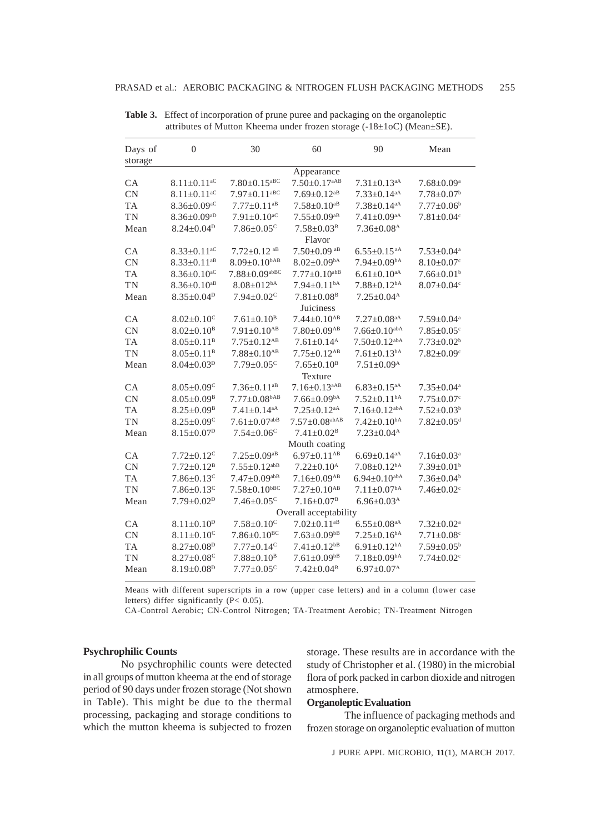| Days of<br>storage | $\theta$                      | 30                             | 60                              | 90                             | Mean                         |  |  |  |
|--------------------|-------------------------------|--------------------------------|---------------------------------|--------------------------------|------------------------------|--|--|--|
|                    | Appearance                    |                                |                                 |                                |                              |  |  |  |
| CA                 | $8.11 \pm 0.11$ <sup>aC</sup> | $7.80 \pm 0.15$ <sup>aBC</sup> | $7.50 \pm 0.17$ <sup>aAB</sup>  | $7.31 \pm 0.13$ <sup>aA</sup>  | $7.68 \pm 0.09^{\mathrm{a}}$ |  |  |  |
| <b>CN</b>          | $8.11 \pm 0.11$ <sup>aC</sup> | $7.97 \pm 0.11$ <sup>aBC</sup> | $7.69 \pm 0.12$ <sup>aB</sup>   | $7.33 \pm 0.14$ <sup>aA</sup>  | $7.78 \pm 0.07$ <sup>b</sup> |  |  |  |
| <b>TA</b>          | $8.36 \pm 0.09$ <sup>aC</sup> | $7.77 \pm 0.11$ <sup>aB</sup>  | $7.58{\pm}0.10^{\mathrm{aB}}$   | $7.38 \pm 0.14$ <sup>aA</sup>  | $7.77 \pm 0.06^b$            |  |  |  |
| TN                 | $8.36 \pm 0.09$ <sup>aD</sup> | $7.91 \pm 0.10$ <sup>aC</sup>  | $7.55 \pm 0.09$ <sup>aB</sup>   | $7.41 \pm 0.09$ aA             | $7.81 \pm 0.04$ <sup>c</sup> |  |  |  |
| Mean               | $8.24 \pm 0.04^p$             | $7.86 \pm 0.05$ <sup>c</sup>   | $7.58 \pm 0.03^{\rm B}$         | $7.36 \pm 0.08$ <sup>A</sup>   |                              |  |  |  |
|                    |                               | Flavor                         |                                 |                                |                              |  |  |  |
| CA                 | $8.33 \pm 0.11$ <sup>aC</sup> | $7.72 \pm 0.12$ aB             | $7.50 \pm 0.09$ aB              | $6.55 \pm 0.15$ <sup>aA</sup>  | $7.53 \pm 0.04^a$            |  |  |  |
| <b>CN</b>          | $8.33 \pm 0.11$ <sup>aB</sup> | $8.09 \pm 0.10^{bAB}$          | $8.02 \pm 0.09$ <sup>bA</sup>   | $7.94 \pm 0.09$ <sup>bA</sup>  | $8.10 \pm 0.07$ <sup>c</sup> |  |  |  |
| TA                 | $8.36 \pm 0.10$ <sup>aC</sup> | $7.88 \pm 0.09$ abBC           | $7.77 \pm 0.10^{abB}$           | $6.61{\pm}0.10^{\rm aA}$       | $7.66 \pm 0.01^b$            |  |  |  |
| TN                 | $8.36 \pm 0.10$ <sup>aB</sup> | $8.08 \pm 012$ <sup>bA</sup>   | $7.94 \pm 0.11$ <sup>bA</sup>   | $7.88 \pm 0.12$ <sup>bA</sup>  | $8.07 \pm 0.04$ <sup>c</sup> |  |  |  |
| Mean               | $8.35 \pm 0.04^{\rm D}$       | $7.94 \pm 0.02$ <sup>c</sup>   | $7.81 \pm 0.08$ <sup>B</sup>    | $7.25 \pm 0.04$ <sup>A</sup>   |                              |  |  |  |
|                    |                               | Juiciness                      |                                 |                                |                              |  |  |  |
| CA                 | $8.02 \pm 0.10$ <sup>c</sup>  | $7.61 \pm 0.10^{\text{B}}$     | $7.44 \pm 0.10^{AB}$            | $7.27 \pm 0.08$ aA             | $7.59 \pm 0.04^a$            |  |  |  |
| <b>CN</b>          | $8.02 \pm 0.10^{\text{B}}$    | $7.91 \pm 0.10$ <sup>AB</sup>  | $7.80 \pm 0.09$ <sup>AB</sup>   | $7.66 \pm 0.10^{abA}$          | $7.85 \pm 0.05$ <sup>c</sup> |  |  |  |
| TA                 | $8.05 \pm 0.11^{\text{B}}$    | $7.75 \pm 0.12$ <sup>AB</sup>  | $7.61 \pm 0.14$ <sup>A</sup>    | $7.50 \pm 0.12$ <sup>abA</sup> | $7.73 \pm 0.02^b$            |  |  |  |
| <b>TN</b>          | $8.05 \pm 0.11^{\text{B}}$    | $7.88 \pm 0.10^{AB}$           | $7.75 \pm 0.12$ <sup>AB</sup>   | $7.61 \pm 0.13$ <sup>bA</sup>  | $7.82 \pm 0.09$ <sup>c</sup> |  |  |  |
| Mean               | $8.04 \pm 0.03^{\rm D}$       | $7.79 \pm 0.05$ <sup>c</sup>   | $7.65 \pm 0.10^{\rm B}$         | $7.51 \pm 0.09^{\text{A}}$     |                              |  |  |  |
|                    |                               |                                | Texture                         |                                |                              |  |  |  |
| <b>CA</b>          | $8.05 \pm 0.09$ <sup>C</sup>  | $7.36 \pm 0.11$ <sup>aB</sup>  | $7.16 \pm 0.13$ <sup>aAB</sup>  | $6.83 \pm 0.15$ <sup>aA</sup>  | $7.35 \pm 0.04$ <sup>a</sup> |  |  |  |
| <b>CN</b>          | $8.05 \pm 0.09$ <sup>B</sup>  | $7.77 \pm 0.08$ <sup>bAB</sup> | $7.66 \pm 0.09$ <sup>bA</sup>   | $7.52 \pm 0.11$ <sup>bA</sup>  | $7.75 \pm 0.07$ <sup>c</sup> |  |  |  |
| TA                 | $8.25 \pm 0.09^{\text{B}}$    | $7.41 \pm 0.14$ <sup>aA</sup>  | $7.25 \pm 0.12$ <sup>aA</sup>   | $7.16 \pm 0.12$ <sup>abA</sup> | $7.52 \pm 0.03^b$            |  |  |  |
| TN                 | $8.25 \pm 0.09$ <sup>C</sup>  | $7.61 \pm 0.07$ <sup>abB</sup> | $7.57 \pm 0.08$ <sup>abAB</sup> | $7.42 \pm 0.10^{bA}$           | $7.82 \pm 0.05$ <sup>d</sup> |  |  |  |
| Mean               | $8.15 \pm 0.07^p$             | $7.54 \pm 0.06$ <sup>c</sup>   | $7.41 \pm 0.02^{\text{B}}$      | $7.23 \pm 0.04$ <sup>A</sup>   |                              |  |  |  |
|                    |                               | Mouth coating                  |                                 |                                |                              |  |  |  |
| <b>CA</b>          | $7.72 \pm 0.12$ <sup>c</sup>  | $7.25 \pm 0.09$ <sup>aB</sup>  | $6.97 \pm 0.11$ <sup>AB</sup>   | $6.69 \pm 0.14$ <sup>aA</sup>  | $7.16 \pm 0.03$ <sup>a</sup> |  |  |  |
| CN                 | $7.72 \pm 0.12^{\rm B}$       | $7.55 \pm 0.12$ <sup>abB</sup> | $7.22 \pm 0.10^{\text{A}}$      | $7.08 \pm 0.12$ <sup>bA</sup>  | $7.39 \pm 0.01^b$            |  |  |  |
| TA                 | $7.86 \pm 0.13$ <sup>c</sup>  | $7.47 \pm 0.09$ <sup>abB</sup> | $7.16 \pm 0.09$ <sup>AB</sup>   | $6.94 \pm 0.10^{abA}$          | $7.36 \pm 0.04^b$            |  |  |  |
| <b>TN</b>          | $7.86 \pm 0.13$ <sup>c</sup>  | $7.58 \pm 0.10^{bBC}$          | $7.27 \pm 0.10^{AB}$            | $7.11 \pm 0.07$ <sup>bA</sup>  | $7.46 \pm 0.02$ <sup>c</sup> |  |  |  |
| Mean               | $7.79 \pm 0.02^p$             | $7.46 \pm 0.05$ <sup>c</sup>   | $7.16 \pm 0.07$ <sup>B</sup>    | $6.96 \pm 0.03^{\text{A}}$     |                              |  |  |  |
|                    |                               | Overall acceptability          |                                 |                                |                              |  |  |  |
| CA                 | $8.11 \pm 0.10^p$             | $7.58 \pm 0.10^{\circ}$        | $7.02 \pm 0.11$ <sup>aB</sup>   | $6.55 \pm 0.08$ <sup>aA</sup>  | $7.32 \pm 0.02^{\text{a}}$   |  |  |  |
| <b>CN</b>          | $8.11 \pm 0.10$ <sup>c</sup>  | $7.86 \pm 0.10^{BC}$           | $7.63 \pm 0.09$ <sup>bB</sup>   | $7.25 \pm 0.16^{bA}$           | $7.71 \pm 0.08$ c            |  |  |  |
| TA                 | $8.27 \pm 0.08$ <sup>D</sup>  | $7.77 \pm 0.14$ <sup>c</sup>   | $7.41 \pm 0.12$ <sup>bB</sup>   | $6.91 \pm 0.12$ <sup>bA</sup>  | $7.59 \pm 0.05^{\rm b}$      |  |  |  |
| <b>TN</b>          | $8.27 \pm 0.08$ <sup>C</sup>  | $7.88 \pm 0.10^{\rm B}$        | $7.61 \pm 0.09$ <sup>bB</sup>   | $7.18 \pm 0.09$ <sup>bA</sup>  | $7.74 \pm 0.02$ <sup>c</sup> |  |  |  |
| Mean               | $8.19 \pm 0.08$ <sup>D</sup>  | $7.77 \pm 0.05$ <sup>c</sup>   | $7.42 \pm 0.04^{\rm B}$         | $6.97 \pm 0.07^{\text{A}}$     |                              |  |  |  |

**Table 3.** Effect of incorporation of prune puree and packaging on the organoleptic attributes of Mutton Kheema under frozen storage (-18±1oC) (Mean±SE).

Means with different superscripts in a row (upper case letters) and in a column (lower case letters) differ significantly ( $P < 0.05$ ).

CA-Control Aerobic; CN-Control Nitrogen; TA-Treatment Aerobic; TN-Treatment Nitrogen

# **Psychrophilic Counts**

No psychrophilic counts were detected in all groups of mutton kheema at the end of storage period of 90 days under frozen storage (Not shown in Table). This might be due to the thermal processing, packaging and storage conditions to which the mutton kheema is subjected to frozen

storage. These results are in accordance with the study of Christopher et al. (1980) in the microbial flora of pork packed in carbon dioxide and nitrogen atmosphere.

#### **Organoleptic Evaluation**

The influence of packaging methods and frozen storage on organoleptic evaluation of mutton

J PURE APPL MICROBIO*,* **11**(1), MARCH 2017.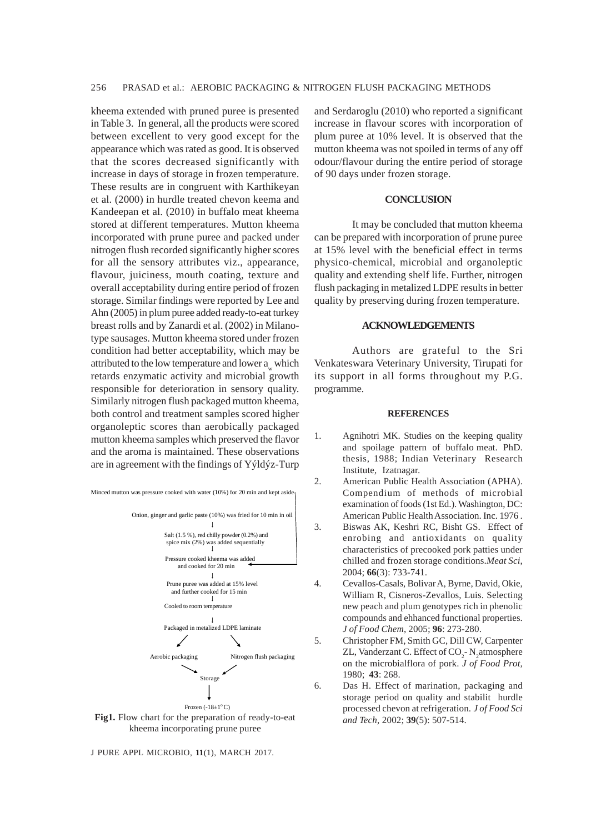kheema extended with pruned puree is presented in Table 3. In general, all the products were scored between excellent to very good except for the appearance which was rated as good. It is observed that the scores decreased significantly with increase in days of storage in frozen temperature. These results are in congruent with Karthikeyan et al. (2000) in hurdle treated chevon keema and Kandeepan et al. (2010) in buffalo meat kheema stored at different temperatures. Mutton kheema incorporated with prune puree and packed under nitrogen flush recorded significantly higher scores for all the sensory attributes viz., appearance, flavour, juiciness, mouth coating, texture and overall acceptability during entire period of frozen storage. Similar findings were reported by Lee and Ahn (2005) in plum puree added ready-to-eat turkey breast rolls and by Zanardi et al. (2002) in Milanotype sausages. Mutton kheema stored under frozen condition had better acceptability, which may be attributed to the low temperature and lower a<sub>w</sub> which retards enzymatic activity and microbial growth responsible for deterioration in sensory quality. Similarly nitrogen flush packaged mutton kheema, both control and treatment samples scored higher organoleptic scores than aerobically packaged mutton kheema samples which preserved the flavor and the aroma is maintained. These observations are in agreement with the findings of Yýldýz-Turp



kheema incorporating prune puree

J PURE APPL MICROBIO*,* **11**(1), MARCH 2017.

and Serdaroglu (2010) who reported a significant increase in flavour scores with incorporation of plum puree at 10% level. It is observed that the mutton kheema was not spoiled in terms of any off odour/flavour during the entire period of storage of 90 days under frozen storage.

#### **CONCLUSION**

It may be concluded that mutton kheema can be prepared with incorporation of prune puree at 15% level with the beneficial effect in terms physico-chemical, microbial and organoleptic quality and extending shelf life. Further, nitrogen flush packaging in metalized LDPE results in better quality by preserving during frozen temperature.

### **ACKNOWLEDGEMENTS**

Authors are grateful to the Sri Venkateswara Veterinary University, Tirupati for its support in all forms throughout my P.G. programme.

#### **REFERENCES**

- 1. Agnihotri MK. Studies on the keeping quality and spoilage pattern of buffalo meat. PhD. thesis, 1988; Indian Veterinary Research Institute, Izatnagar.
- 2. American Public Health Association (APHA). Compendium of methods of microbial examination of foods (1st Ed.). Washington, DC: American Public Health Association. Inc. 1976 .
- 3. Biswas AK, Keshri RC, Bisht GS. Effect of enrobing and antioxidants on quality characteristics of precooked pork patties under chilled and frozen storage conditions.*Meat Sci*, 2004; **66**(3): 733-741.
- 4. Cevallos-Casals, Bolivar A, Byrne, David, Okie, William R, Cisneros-Zevallos, Luis. Selecting new peach and plum genotypes rich in phenolic compounds and ehhanced functional properties. *J of Food Chem*, 2005; **96**: 273-280.
- 5. Christopher FM, Smith GC, Dill CW, Carpenter ZL, Vanderzant C. Effect of CO<sub>2</sub>-N<sub>2</sub>atmosphere on the microbialflora of pork. *J of Food Prot,* 1980; **43**: 268.
- 6. Das H. Effect of marination, packaging and storage period on quality and stabilit hurdle processed chevon at refrigeration. *J of Food Sci*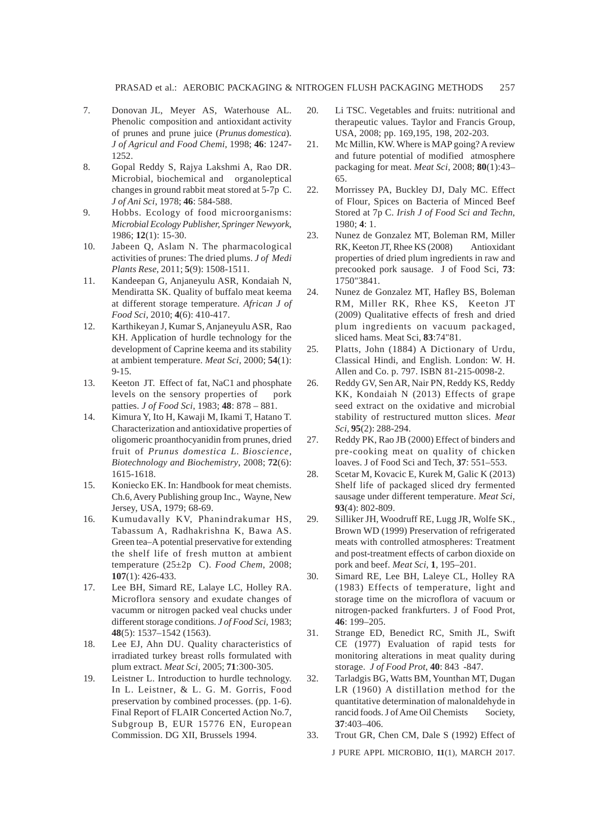- 7. Donovan JL, Meyer AS, Waterhouse AL. Phenolic composition and antioxidant activity of prunes and prune juice (*Prunus domestica*). *J of Agricul and Food Chemi*, 1998; **46**: 1247- 1252.
- 8. Gopal Reddy S, Rajya Lakshmi A, Rao DR. Microbial, biochemical and organoleptical changes in ground rabbit meat stored at 5-7p C. *J of Ani Sci*, 1978; **46**: 584-588.
- 9. Hobbs. Ecology of food microorganisms: *Microbial Ecology Publisher, Springer Newyork*, 1986; **12**(1): 15-30.
- 10. Jabeen Q, Aslam N. The pharmacological activities of prunes: The dried plums. *J of Medi Plants Rese*, 2011; **5**(9): 1508-1511.
- 11. Kandeepan G, Anjaneyulu ASR, Kondaiah N, Mendiratta SK. Quality of buffalo meat keema at different storage temperature. *African J of Food Sci*, 2010; **4**(6): 410-417.
- 12. Karthikeyan J, Kumar S, Anjaneyulu ASR, Rao KH. Application of hurdle technology for the development of Caprine keema and its stability at ambient temperature. *Meat Sci*, 2000; **54**(1): 9-15.
- 13. Keeton JT. Effect of fat, NaC1 and phosphate levels on the sensory properties of pork patties. *J of Food Sci*, 1983; **48**: 878 – 881.
- 14. Kimura Y, Ito H, Kawaji M, Ikami T, Hatano T. Characterization and antioxidative properties of oligomeric proanthocyanidin from prunes, dried fruit of *Prunus domestica L*. *Bioscience, Biotechnology and Biochemistry*, 2008; **72**(6): 1615-1618.
- 15. Koniecko EK. In: Handbook for meat chemists. Ch.6, Avery Publishing group Inc., Wayne, New Jersey, USA, 1979; 68-69.
- 16. Kumudavally KV, Phanindrakumar HS, Tabassum A, Radhakrishna K, Bawa AS. Green tea–A potential preservative for extending the shelf life of fresh mutton at ambient temperature (25±2p C). *Food Chem*, 2008; **107**(1): 426-433.
- 17. Lee BH, Simard RE, Lalaye LC, Holley RA. Microflora sensory and exudate changes of vacumm or nitrogen packed veal chucks under different storage conditions. *J of Food Sci,* 1983; **48**(5): 1537–1542 (1563).
- 18. Lee EJ, Ahn DU. Quality characteristics of irradiated turkey breast rolls formulated with plum extract. *Meat Sci*, 2005; **71**:300-305.
- 19. Leistner L. Introduction to hurdle technology. In L. Leistner, & L. G. M. Gorris, Food preservation by combined processes. (pp. 1-6). Final Report of FLAIR Concerted Action No.7, Subgroup B, EUR 15776 EN, European Commission. DG XII, Brussels 1994.
- 20. Li TSC. Vegetables and fruits: nutritional and therapeutic values. Taylor and Francis Group, USA, 2008; pp. 169,195, 198, 202-203.
- 21. Mc Millin, KW. Where is MAP going? A review and future potential of modified atmosphere packaging for meat. *Meat Sci*, 2008; **80**(1):43– 65.
- 22. Morrissey PA, Buckley DJ, Daly MC. Effect of Flour, Spices on Bacteria of Minced Beef Stored at 7p C. *Irish J of Food Sci and Techn*, 1980; **4**: 1.
- 23. Nunez de Gonzalez MT, Boleman RM, Miller RK, Keeton JT, Rhee KS (2008) Antioxidant properties of dried plum ingredients in raw and precooked pork sausage. J of Food Sci, **73**: 1750"3841.
- 24. Nunez de Gonzalez MT, Hafley BS, Boleman RM, Miller RK, Rhee KS, Keeton JT (2009) Qualitative effects of fresh and dried plum ingredients on vacuum packaged, sliced hams. Meat Sci, **83**:74"81.
- 25. Platts, John (1884) A Dictionary of Urdu, Classical Hindi, and English. London: W. H. Allen and Co. p. 797. ISBN 81-215-0098-2.
- 26. Reddy GV, Sen AR, Nair PN, Reddy KS, Reddy KK, Kondaiah N (2013) Effects of grape seed extract on the oxidative and microbial stability of restructured mutton slices. *Meat Sci*, **95**(2): 288-294.
- 27. Reddy PK, Rao JB (2000) Effect of binders and pre-cooking meat on quality of chicken loaves. J of Food Sci and Tech, **37**: 551–553.
- 28. Scetar M, Kovacic E, Kurek M, Galic K (2013) Shelf life of packaged sliced dry fermented sausage under different temperature. *Meat Sci*, **93**(4): 802-809.
- 29. Silliker JH, Woodruff RE, Lugg JR, Wolfe SK., Brown WD (1999) Preservation of refrigerated meats with controlled atmospheres: Treatment and post-treatment effects of carbon dioxide on pork and beef. *Meat Sci*, **1**, 195–201.
- 30. Simard RE, Lee BH, Laleye CL, Holley RA (1983) Effects of temperature, light and storage time on the microflora of vacuum or nitrogen-packed frankfurters. J of Food Prot, **46**: 199–205.
- 31. Strange ED, Benedict RC, Smith JL, Swift CE (1977) Evaluation of rapid tests for monitoring alterations in meat quality during storage. *J of Food Prot*, **40**: 843 -847.
- 32. Tarladgis BG, Watts BM, Younthan MT, Dugan LR (1960) A distillation method for the quantitative determination of malonaldehyde in rancid foods. J of Ame Oil Chemists Society, **37**:403–406.
- 33. Trout GR, Chen CM, Dale S (1992) Effect of

J PURE APPL MICROBIO*,* **11**(1), MARCH 2017.